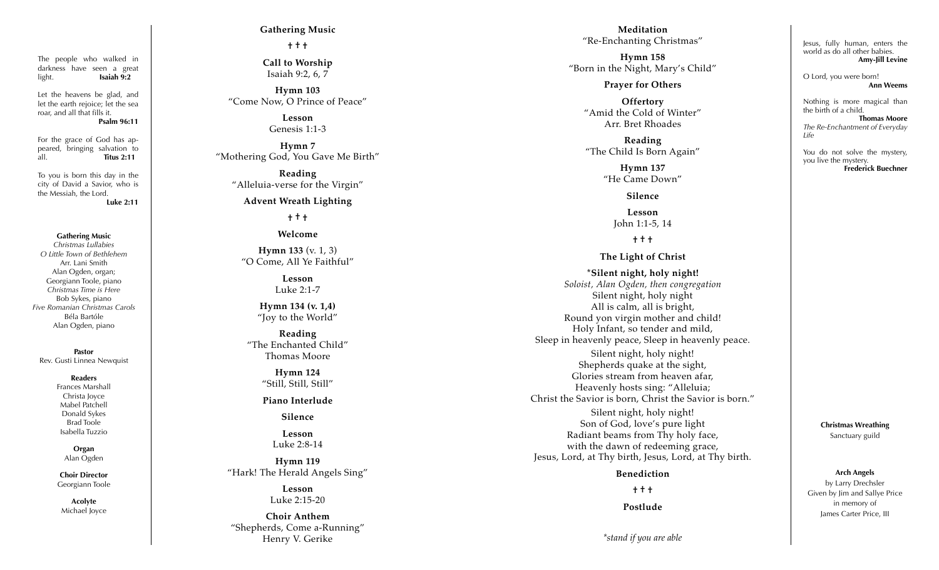The people who walked in darkness have seen a great light. **Isaiah 9:2**

Let the heavens be glad, and let the earth rejoice; let the sea roar, and all that fills it.

**Psalm 96:11**

For the grace of God has ap peared, bringing salvation to all. **Titus 2:11**

To you is born this day in the city of David a Savior, who is the Messiah, the Lord. **Luke 2:11**

**Gathering Music**

*Christmas Lullabies O Little Town of Bethlehem* Arr. Lani Smith Alan Ogden, organ; Georgiann Toole, piano *Christmas Time is Here* Bob Sykes, piano *Five Romanian Christmas Carols* Béla Bartóle Alan Ogden, piano

**Pastor** Rev. Gusti Linnea Newquist

#### **Readers**

Frances Marshall Christa Joyce Mabel Patchell Donald Sykes Brad Toole Isabella Tuzzio

> **Organ** Alan Ogden

**Choir Director** Georgiann Toole

**Acolyte** Michael Joyce

## **Gathering Music**

**† † †** 

**Call to Worship** Isaiah 9:2, 6, 7

**Hymn 103** "Come Now, O Prince of Peace"

> **Lesson** Genesis 1:1-3

**Hymn 7** "Mothering God, You Gave Me Birth"

**Reading** "Alleluia-verse for the Virgin"

**Advent Wreath Lighting**

**† † †** 

**Welcome**

**Hymn 133** (v. 1, 3) "O Come, All Ye Faithful"

> **Lesson** Luke 2:1-7

**Hymn 134 (v. 1,4)** "Joy to the World"

**Reading** "The Enchanted Child" Thomas Moore

> **Hymn 124** "Still, Still, Still"

**Piano Interlude** 

**Silence**

**Lesson**  Luke 2:8-14

**Hymn 119** "Hark! The Herald Angels Sing"

> **Lesson** Luke 2:15-20

**Choir Anthem** "Shepherds, Come a-Running" Henry V. Gerike

**Meditation** "Re-Enchanting Christmas"

**Hymn 158** "Born in the Night, Mary's Child"

#### **Prayer for Others**

**Offertory** "Amid the Cold of Winter" Arr. Bret Rhoades

**Reading** "The Child Is Born Again"

> **Hymn 137** "He Came Down"

> > **Silence**

**Lesson** John 1:1-5, 14

**† † †** 

### **The Light of Christ**

**\*Silent night, holy night!** *Soloist, Alan Ogden, then congregation* Silent night, holy night All is calm, all is bright, Round yon virgin mother and child! Holy Infant, so tender and mild, Sleep in heavenly peace, Sleep in heavenly peace. Silent night, holy night! Shepherds quake at the sight, Glories stream from heaven afar, Heavenly hosts sing: "Alleluia; Christ the Savior is born, Christ the Savior is born." Silent night, holy night! Son of God, love's pure light Radiant beams from Thy holy face,

with the dawn of redeeming grace, Jesus, Lord, at Thy birth, Jesus, Lord, at Thy birth.

**Benediction**

**† † † Postlude**

*\*stand if you are able*

Jesus, fully human, enters the world as do all other babies. **Amy-Jill Levine**

O Lord, you were born! **Ann Weems**

Nothing is more magical than the birth of a child. **Thomas Moore** *The Re-Enchantment of Everyday Life*

You do not solve the mystery, you live the mystery. **Frederick Buechner**

> **Christmas Wreathing** Sanctuary guild

> > **Arch Angels**

by Larry Drechsler Given by Jim and Sallye Price in memory of James Carter Price, III